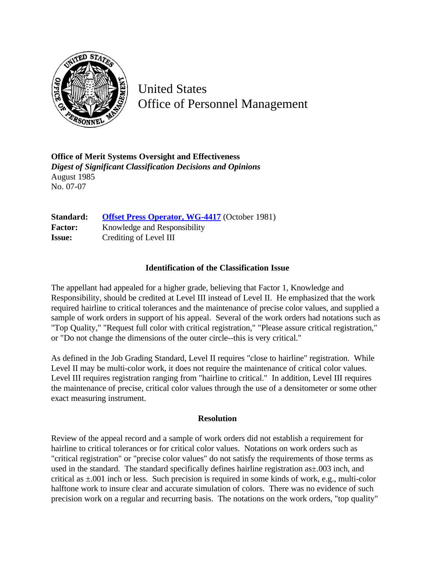

United States Office of Personnel Management

**Office of Merit Systems Oversight and Effectiveness** *Digest of Significant Classification Decisions and Opinions* August 1985 No. 07-07

**Standard:** [Offset Press Operator, WG-4417](http://www.opm.gov/hr/fedclass/fws4417.pdf) (October 1981) Factor: Knowledge and Responsibility **Issue:** Crediting of Level III

## **Identification of the Classification Issue**

The appellant had appealed for a higher grade, believing that Factor 1, Knowledge and Responsibility, should be credited at Level III instead of Level II. He emphasized that the work required hairline to critical tolerances and the maintenance of precise color values, and supplied a sample of work orders in support of his appeal. Several of the work orders had notations such as "Top Quality," "Request full color with critical registration," "Please assure critical registration," or "Do not change the dimensions of the outer circle--this is very critical."

As defined in the Job Grading Standard, Level II requires "close to hairline" registration. While Level II may be multi-color work, it does not require the maintenance of critical color values. Level III requires registration ranging from "hairline to critical." In addition, Level III requires the maintenance of precise, critical color values through the use of a densitometer or some other exact measuring instrument.

## **Resolution**

Review of the appeal record and a sample of work orders did not establish a requirement for hairline to critical tolerances or for critical color values. Notations on work orders such as "critical registration" or "precise color values" do not satisfy the requirements of those terms as used in the standard. The standard specifically defines hairline registration as $\pm$ .003 inch, and critical as ±.001 inch or less. Such precision is required in some kinds of work, e.g., multi-color halftone work to insure clear and accurate simulation of colors. There was no evidence of such precision work on a regular and recurring basis. The notations on the work orders, "top quality"